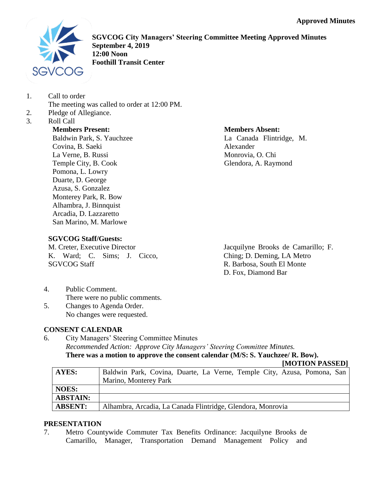

**SGVCOG City Managers' Steering Committee Meeting Approved Minutes September 4, 2019 12:00 Noon Foothill Transit Center**

- 1. Call to order
	- The meeting was called to order at 12:00 PM.
- 2. Pledge of Allegiance.
- 3. Roll Call

**Members Present:** Baldwin Park, S. Yauchzee Covina, B. Saeki La Verne, B. Russi Temple City, B. Cook Pomona, L. Lowry Duarte, D. George Azusa, S. Gonzalez Monterey Park, R. Bow Alhambra, J. Binnquist Arcadia, D. Lazzaretto San Marino, M. Marlowe

## **Members Absent:**

La Canada Flintridge, M. Alexander Monrovia, O. Chi Glendora, A. Raymond

# **SGVCOG Staff/Guests:**

M. Creter, Executive Director K. Ward; C. Sims; J. Cicco, SGVCOG Staff

Jacquilyne Brooks de Camarillo; F. Ching; D. Deming, LA Metro R. Barbosa, South El Monte D. Fox, Diamond Bar

- 4. Public Comment. There were no public comments.
- 5. Changes to Agenda Order. No changes were requested.

# **CONSENT CALENDAR**

6. City Managers' Steering Committee Minutes *Recommended Action: Approve City Managers' Steering Committee Minutes.* **There was a motion to approve the consent calendar (M/S: S. Yauchzee/ R. Bow).**

#### **[MOTION PASSED]**

| <b>AYES:</b>    | Baldwin Park, Covina, Duarte, La Verne, Temple City, Azusa, Pomona, San |
|-----------------|-------------------------------------------------------------------------|
|                 | Marino, Monterey Park                                                   |
| NOES:           |                                                                         |
| <b>ABSTAIN:</b> |                                                                         |
| <b>ABSENT:</b>  | Alhambra, Arcadia, La Canada Flintridge, Glendora, Monrovia             |

# **PRESENTATION**

7. Metro Countywide Commuter Tax Benefits Ordinance: Jacquilyne Brooks de Camarillo, Manager, Transportation Demand Management Policy and